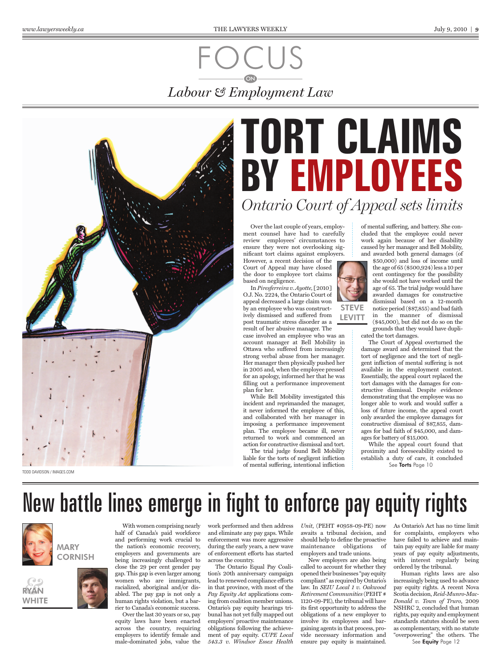### FOCUS *Labour & Employment Law* **ON**



TODD DAVIDSON / IMAGES.COM

## **TORT CLAIMS BY EMPLOYEES** *Ontario Court of Appeal sets limits*

Over the last couple of years, employment counsel have had to carefully review employees' circumstances to ensure they were not overlooking significant tort claims against employers.

However, a recent decision of the Court of Appeal may have closed the door to employee tort claims based on negligence.

In *Piresferreira v. Ayotte,* [2010] O.J. No. 2224, the Ontario Court of appeal decreased a large claim won by an employee who was constructively dismissed and suffered from post traumatic stress disorder as a result of her abusive manager. The

case involved an employee who was an account manager at Bell Mobility in Ottawa who suffered from increasingly strong verbal abuse from her manager. Her manager then physically pushed her in 2005 and, when the employee pressed for an apology, informed her that he was filling out a performance improvement plan for her.

While Bell Mobility investigated this incident and reprimanded the manager, it never informed the employee of this, and collaborated with her manager in imposing a performance improvement plan. The employee became ill, never returned to work and commenced an action for constructive dismissal and tort. The trial judge found Bell Mobility

liable for the torts of negligent infliction of mental suffering, intentional infliction



STEVE **LEVITT** 

of mental suffering, and battery. She concluded that the employee could never work again because of her disability caused by her manager and Bell Mobility, and awarded both general damages (of

\$50,000) and loss of income until the age of 65 (\$500,924) less a 10 per cent contingency for the possibility she would not have worked until the age of 65. The trial judge would have awarded damages for constructive dismissal based on a 12-month notice period (\$87,855) and bad faith in the manner of dismissal (\$45,000), but did not do so on the grounds that they would have duplicated the tort damages.

The Court of Appeal overturned the damage award and determined that the tort of negligence and the tort of negligent infliction of mental suffering is not available in the employment context. Essentially, the appeal court replaced the tort damages with the damages for constructive dismissal. Despite evidence demonstrating that the employee was no longer able to work and would suffer a loss of future income, the appeal court only awarded the employee damages for constructive dismissal of \$87,855, damages for bad faith of \$45,000, and damages for battery of \$15,000.

While the appeal court found that proximity and foreseeability existed to establish a duty of care, it concluded See **Torts** Page 10

### New battle lines emerge in fight to enforce pay equity rights



RYAN *&*<br>**WAN** 

WHITE

# **CORNISH**

With women comprising nearly half of Canada's paid workforce and performing work crucial to the nation's economic recovery, employers and governments are being increasingly challenged to close the 29 per cent gender pay gap. This gap is even larger among women who are immigrants, racialized, aboriginal and/or disabled. The pay gap is not only a human rights violation, but a barrier to Canada's economic success.

Over the last 30 years or so, pay equity laws have been enacted across the country, requiring employers to identify female and male-dominated jobs, value the

work performed and then address and eliminate any pay gaps. While enforcement was more aggressive during the early years, a new wave of enforcement efforts has started across the country.

The Ontario Equal Pay Coalition's 20th anniversary campaign lead to renewed compliance efforts in that province, with most of the *Pay Equity Act* applications coming from coalition member unions. Ontario's pay equity hearings tribunal has not yet fully mapped out employers' proactive maintenance obligations following the achievement of pay equity. *CUPE Local 543.3 v. Windsor Essex Health* 

*Unit*, (PEHT #0958-09-PE) now awaits a tribunal decision, and should help to define the proactive maintenance obligations of employers and trade unions.

New employers are also being called to account for whether they opened their businesses "pay equity compliant" as required by Ontario's law. In *SEIU Local 1 v. Oakwood Retirement Communities* (PEHT # 1120-09-PE), the tribunal will have its first opportunity to address the obligations of a new employer to involve its employees and bargaining agents in that process, provide necessary information and ensure pay equity is maintained.

As Ontario's Act has no time limit for complaints, employers who have failed to achieve and maintain pay equity are liable for many years of pay equity adjustments, with interest regularly being ordered by the tribunal.

Human rights laws are also increasingly being used to advance pay equity rights. A recent Nova Scotia decision, *Reid-Munro-Mac-Donald v. Town of Truro*, 2009 NSHRC 2, concluded that human rights, pay equity and employment standards statutes should be seen as complementary, with no statute "overpowering" the others. The

See **Equity** Page 12